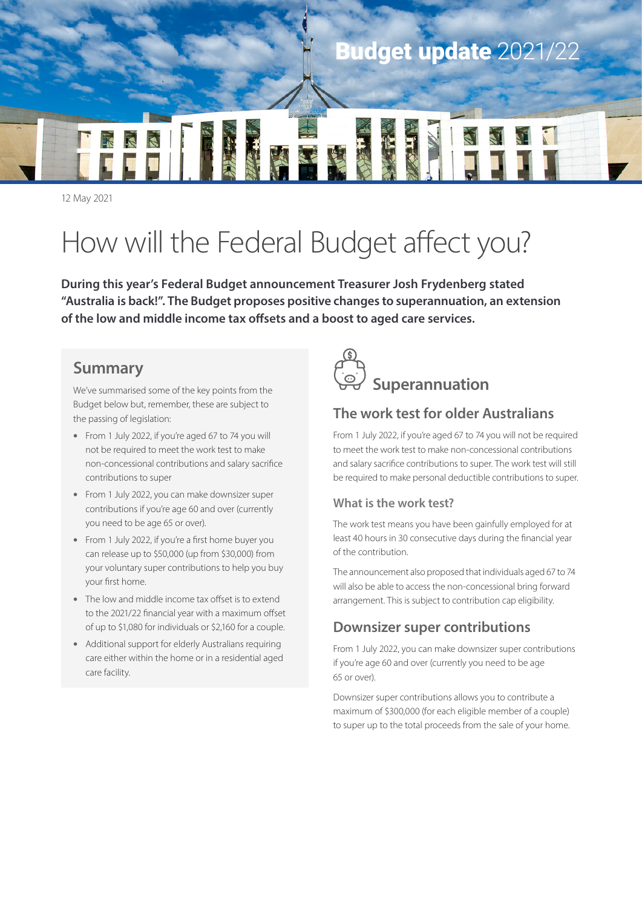

12 May 2021

# How will the Federal Budget affect you?

**During this year's Federal Budget announcement Treasurer Josh Frydenberg stated "Australia is back!". The Budget proposes positive changes to superannuation, an extension of the low and middle income tax offsets and a boost to aged care services.**

# **Summary**

We've summarised some of the key points from the Budget below but, remember, these are subject to the passing of legislation:

- From 1 July 2022, if you're aged 67 to 74 you will not be required to meet the work test to make non-concessional contributions and salary sacrifice contributions to super
- From 1 July 2022, you can make downsizer super contributions if you're age 60 and over (currently you need to be age 65 or over).
- From 1 July 2022, if you're a first home buyer you can release up to \$50,000 (up from \$30,000) from your voluntary super contributions to help you buy your first home.
- The low and middle income tax offset is to extend to the 2021/22 financial year with a maximum offset of up to \$1,080 for individuals or \$2,160 for a couple.
- Additional support for elderly Australians requiring care either within the home or in a residential aged care facility.



# **The work test for older Australians**

From 1 July 2022, if you're aged 67 to 74 you will not be required to meet the work test to make non-concessional contributions and salary sacrifice contributions to super. The work test will still be required to make personal deductible contributions to super.

#### **What is the work test?**

The work test means you have been gainfully employed for at least 40 hours in 30 consecutive days during the financial year of the contribution.

The announcement also proposed that individuals aged 67 to 74 will also be able to access the non-concessional bring forward arrangement. This is subject to contribution cap eligibility.

### **Downsizer super contributions**

From 1 July 2022, you can make downsizer super contributions if you're age 60 and over (currently you need to be age 65 or over).

Downsizer super contributions allows you to contribute a maximum of \$300,000 (for each eligible member of a couple) to super up to the total proceeds from the sale of your home.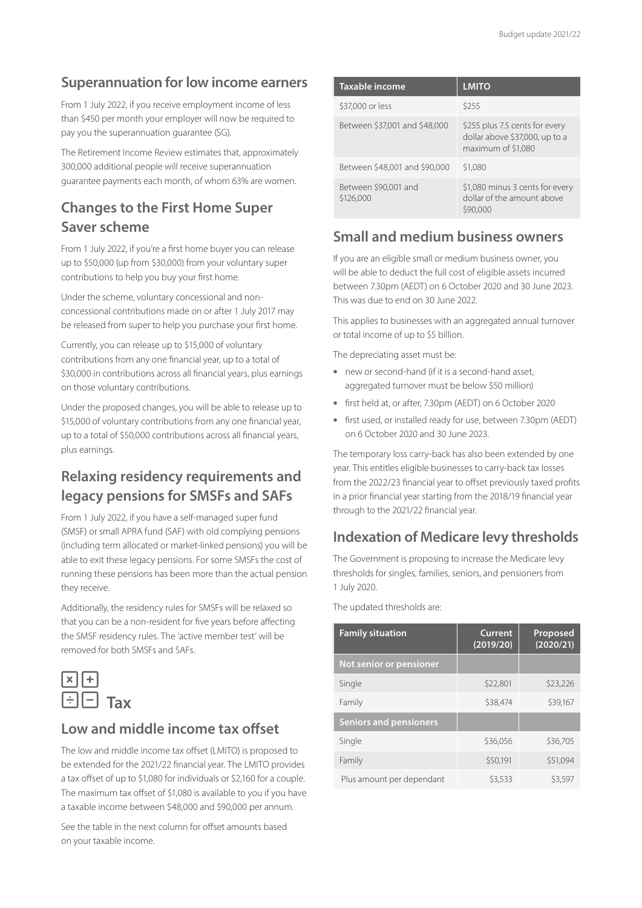#### **Superannuation for low income earners**

From 1 July 2022, if you receive employment income of less than \$450 per month your employer will now be required to pay you the superannuation guarantee (SG).

The Retirement Income Review estimates that, approximately 300,000 additional people will receive superannuation guarantee payments each month, of whom 63% are women.

# **Changes to the First Home Super Saver scheme**

From 1 July 2022, if you're a first home buyer you can release up to \$50,000 (up from \$30,000) from your voluntary super contributions to help you buy your first home.

Under the scheme, voluntary concessional and nonconcessional contributions made on or after 1 July 2017 may be released from super to help you purchase your first home.

Currently, you can release up to \$15,000 of voluntary contributions from any one financial year, up to a total of \$30,000 in contributions across all financial years, plus earnings on those voluntary contributions.

Under the proposed changes, you will be able to release up to \$15,000 of voluntary contributions from any one financial year, up to a total of \$50,000 contributions across all financial years, plus earnings.

### **Relaxing residency requirements and legacy pensions for SMSFs and SAFs**

From 1 July 2022, if you have a self-managed super fund (SMSF) or small APRA fund (SAF) with old complying pensions (including term allocated or market-linked pensions) you will be able to exit these legacy pensions. For some SMSFs the cost of running these pensions has been more than the actual pension they receive.

Additionally, the residency rules for SMSFs will be relaxed so that you can be a non-resident for five years before affecting the SMSF residency rules. The 'active member test' will be removed for both SMSFs and SAFs.



#### **Low and middle income tax offset**

The low and middle income tax offset (LMITO) is proposed to be extended for the 2021/22 financial year. The LMITO provides a tax offset of up to \$1,080 for individuals or \$2,160 for a couple. The maximum tax offset of \$1,080 is available to you if you have a taxable income between \$48,000 and \$90,000 per annum.

See the table in the next column for offset amounts based on your taxable income.

| Taxable income                    | <b>LMITO</b>                                                                           |
|-----------------------------------|----------------------------------------------------------------------------------------|
| \$37,000 or less                  | \$255                                                                                  |
| Between \$37,001 and \$48,000     | \$255 plus 7.5 cents for every<br>dollar above \$37,000, up to a<br>maximum of \$1,080 |
| Between \$48,001 and \$90,000     | \$1,080                                                                                |
| Between \$90,001 and<br>\$126,000 | \$1,080 minus 3 cents for every<br>dollar of the amount above<br>\$90,000              |

#### **Small and medium business owners**

If you are an eligible small or medium business owner, you will be able to deduct the full cost of eligible assets incurred between 7.30pm (AEDT) on 6 October 2020 and 30 June 2023. This was due to end on 30 June 2022.

This applies to businesses with an aggregated annual turnover or total income of up to \$5 billion.

The depreciating asset must be:

- new or second-hand (if it is a second-hand asset, aggregated turnover must be below \$50 million)
- first held at, or after, 7.30pm (AEDT) on 6 October 2020
- first used, or installed ready for use, between 7.30pm (AEDT) on 6 October 2020 and 30 June 2023.

The temporary loss carry-back has also been extended by one year. This entitles eligible businesses to carry-back tax losses from the 2022/23 financial year to offset previously taxed profits in a prior financial year starting from the 2018/19 financial year through to the 2021/22 financial year.

#### **Indexation of Medicare levy thresholds**

The Government is proposing to increase the Medicare levy thresholds for singles, families, seniors, and pensioners from 1 July 2020.

The updated thresholds are:

| <b>Family situation</b>       | <b>Current</b><br>(2019/20) | Proposed<br>(2020/21) |
|-------------------------------|-----------------------------|-----------------------|
| Not senior or pensioner       |                             |                       |
| Single                        | \$22,801                    | \$23,226              |
| Family                        | \$38,474                    | \$39,167              |
| <b>Seniors and pensioners</b> |                             |                       |
| Single                        | \$36,056                    | \$36,705              |
| Family                        | \$50,191                    | \$51,094              |
| Plus amount per dependant     | \$3,533                     | \$3.597               |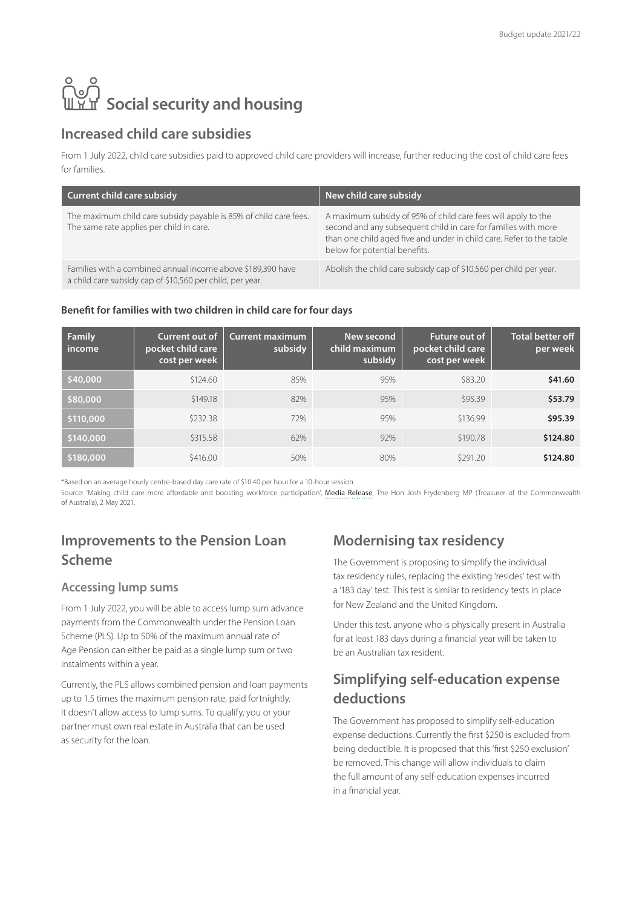# **ြိ**ပ္ပါ<br>။ Yu Social security and housing

#### **Increased child care subsidies**

From 1 July 2022, child care subsidies paid to approved child care providers will increase, further reducing the cost of child care fees for families.

| <b>Current child care subsidy</b>                                                                                        | New child care subsidy                                                                                                                                                                                                                   |
|--------------------------------------------------------------------------------------------------------------------------|------------------------------------------------------------------------------------------------------------------------------------------------------------------------------------------------------------------------------------------|
| The maximum child care subsidy payable is 85% of child care fees.<br>The same rate applies per child in care.            | A maximum subsidy of 95% of child care fees will apply to the<br>second and any subsequent child in care for families with more<br>than one child aged five and under in child care. Refer to the table<br>below for potential benefits. |
| Families with a combined annual income above \$189,390 have<br>a child care subsidy cap of \$10,560 per child, per year. | Abolish the child care subsidy cap of \$10,560 per child per year.                                                                                                                                                                       |

#### **Benefit for families with two children in child care for four days**

| <b>Family</b><br>income | Current out of<br>pocket child care<br>cost per week | <b>Current maximum</b><br>subsidy | New second<br>child maximum<br>subsidy | <b>Future out of</b><br>pocket child care<br>cost per week | <b>Total better off</b><br>per week |
|-------------------------|------------------------------------------------------|-----------------------------------|----------------------------------------|------------------------------------------------------------|-------------------------------------|
| \$40,000                | \$124.60                                             | 85%                               | 95%                                    | \$83.20                                                    | \$41.60                             |
| \$80,000                | \$149.18                                             | 82%                               | 95%                                    | \$95.39                                                    | \$53.79                             |
| \$110,000               | \$232.38                                             | 72%                               | 95%                                    | \$136.99                                                   | \$95.39                             |
| \$140,000               | \$315.58                                             | 62%                               | 92%                                    | \$190.78                                                   | \$124.80                            |
| \$180,000               | \$416.00                                             | 50%                               | 80%                                    | \$291.20                                                   | \$124.80                            |

\*Based on an average hourly centre-based day care rate of \$10.40 per hour for a 10-hour session.

Source: 'Making child care more affordable and boosting workforce participation', Media Release, The Hon Josh Frydenberg MP (Treasurer of the Commonwealth of Australia), 2 May 2021.

# **Improvements to the Pension Loan Scheme**

#### **Accessing lump sums**

From 1 July 2022, you will be able to access lump sum advance payments from the Commonwealth under the Pension Loan Scheme (PLS). Up to 50% of the maximum annual rate of Age Pension can either be paid as a single lump sum or two instalments within a year.

Currently, the PLS allows combined pension and loan payments up to 1.5 times the maximum pension rate, paid fortnightly. It doesn't allow access to lump sums. To qualify, you or your partner must own real estate in Australia that can be used as security for the loan.

### **Modernising tax residency**

The Government is proposing to simplify the individual tax residency rules, replacing the existing 'resides' test with a '183 day' test. This test is similar to residency tests in place for New Zealand and the United Kingdom.

Under this test, anyone who is physically present in Australia for at least 183 days during a financial year will be taken to be an Australian tax resident.

### **Simplifying self-education expense deductions**

The Government has proposed to simplify self-education expense deductions. Currently the first \$250 is excluded from being deductible. It is proposed that this 'first \$250 exclusion' be removed. This change will allow individuals to claim the full amount of any self-education expenses incurred in a financial year.